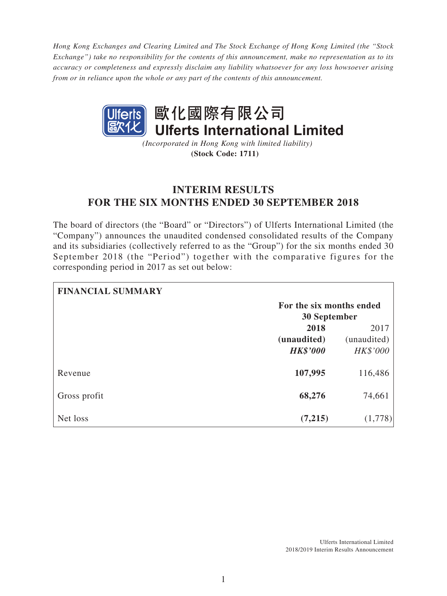*Hong Kong Exchanges and Clearing Limited and The Stock Exchange of Hong Kong Limited (the "Stock Exchange") take no responsibility for the contents of this announcement, make no representation as to its accuracy or completeness and expressly disclaim any liability whatsoever for any loss howsoever arising from or in reliance upon the whole or any part of the contents of this announcement.*



*(Incorporated in Hong Kong with limited liability)* **(Stock Code: 1711)**

# **INTERIM RESULTS FOR THE SIX MONTHS ENDED 30 SEPTEMBER 2018**

The board of directors (the "Board" or "Directors") of Ulferts International Limited (the "Company") announces the unaudited condensed consolidated results of the Company and its subsidiaries (collectively referred to as the "Group") for the six months ended 30 September 2018 (the "Period") together with the comparative figures for the corresponding period in 2017 as set out below:

| <b>FINANCIAL SUMMARY</b> |                          |             |
|--------------------------|--------------------------|-------------|
|                          | For the six months ended |             |
|                          | <b>30 September</b>      |             |
|                          | 2018                     | 2017        |
|                          | (unaudited)              | (unaudited) |
|                          | <b>HK\$'000</b>          | HK\$'000    |
| Revenue                  | 107,995                  | 116,486     |
| Gross profit             | 68,276                   | 74,661      |
| Net loss                 | (7,215)                  | (1,778)     |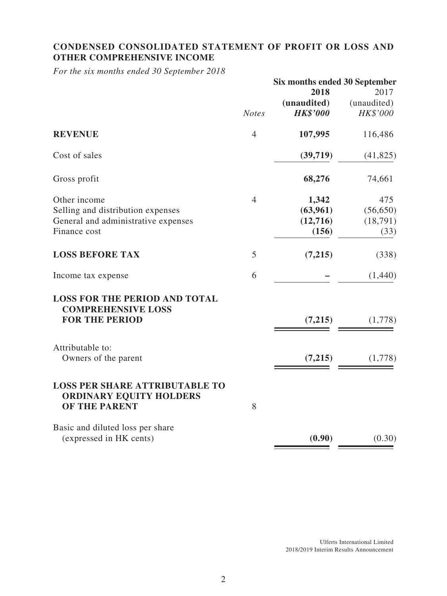# **CONDENSED CONSOLIDATED STATEMENT OF PROFIT OR LOSS AND OTHER COMPREHENSIVE INCOME**

*For the six months ended 30 September 2018*

|                                                                                            | Six months ended 30 September |                 |             |
|--------------------------------------------------------------------------------------------|-------------------------------|-----------------|-------------|
|                                                                                            |                               | 2018            | 2017        |
|                                                                                            |                               | (unaudited)     | (unaudited) |
|                                                                                            | <b>Notes</b>                  | <b>HK\$'000</b> | HK\$'000    |
| <b>REVENUE</b>                                                                             | $\overline{4}$                | 107,995         | 116,486     |
| Cost of sales                                                                              |                               | (39,719)        | (41, 825)   |
| Gross profit                                                                               |                               | 68,276          | 74,661      |
| Other income                                                                               | $\overline{4}$                | 1,342           | 475         |
| Selling and distribution expenses                                                          |                               | (63,961)        | (56, 650)   |
| General and administrative expenses                                                        |                               | (12,716)        | (18,791)    |
| Finance cost                                                                               |                               | (156)           | (33)        |
| <b>LOSS BEFORE TAX</b>                                                                     | 5                             | (7,215)         | (338)       |
| Income tax expense                                                                         | 6                             |                 | (1,440)     |
| <b>LOSS FOR THE PERIOD AND TOTAL</b><br><b>COMPREHENSIVE LOSS</b><br><b>FOR THE PERIOD</b> |                               | (7,215)         | (1,778)     |
|                                                                                            |                               |                 |             |
| Attributable to:                                                                           |                               |                 |             |
| Owners of the parent                                                                       |                               | (7,215)         | (1,778)     |
| <b>LOSS PER SHARE ATTRIBUTABLE TO</b><br><b>ORDINARY EQUITY HOLDERS</b><br>OF THE PARENT   | 8                             |                 |             |
| Basic and diluted loss per share<br>(expressed in HK cents)                                |                               | (0.90)          | (0.30)      |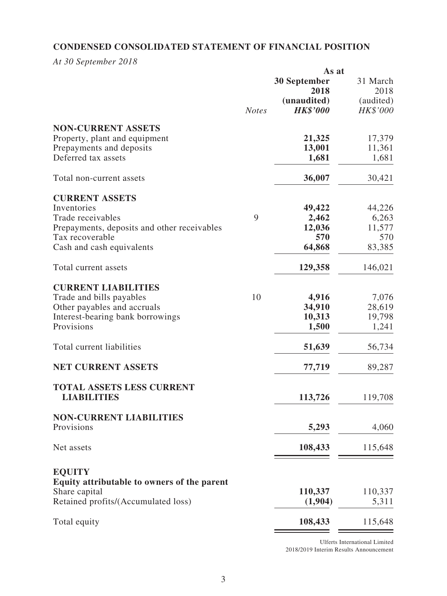# **CONDENSED CONSOLIDATED STATEMENT OF FINANCIAL POSITION**

*At 30 September 2018*

|                                             | As at        |                     |           |
|---------------------------------------------|--------------|---------------------|-----------|
|                                             |              | <b>30 September</b> | 31 March  |
|                                             |              | 2018                | 2018      |
|                                             |              | (unaudited)         | (audited) |
|                                             | <b>Notes</b> | <b>HK\$'000</b>     | HK\$'000  |
|                                             |              |                     |           |
| <b>NON-CURRENT ASSETS</b>                   |              |                     |           |
| Property, plant and equipment               |              | 21,325              | 17,379    |
| Prepayments and deposits                    |              | 13,001              | 11,361    |
| Deferred tax assets                         |              | 1,681               | 1,681     |
|                                             |              |                     |           |
| Total non-current assets                    |              | 36,007              | 30,421    |
|                                             |              |                     |           |
| <b>CURRENT ASSETS</b>                       |              |                     |           |
| Inventories                                 |              | 49,422              | 44,226    |
| Trade receivables                           | 9            | 2,462               | 6,263     |
| Prepayments, deposits and other receivables |              | 12,036              | 11,577    |
| Tax recoverable                             |              | 570                 | 570       |
| Cash and cash equivalents                   |              | 64,868              | 83,385    |
|                                             |              |                     |           |
| Total current assets                        |              | 129,358             | 146,021   |
| <b>CURRENT LIABILITIES</b>                  |              |                     |           |
|                                             |              |                     |           |
| Trade and bills payables                    | 10           | 4,916               | 7,076     |
| Other payables and accruals                 |              | 34,910              | 28,619    |
| Interest-bearing bank borrowings            |              | 10,313              | 19,798    |
| Provisions                                  |              | 1,500               | 1,241     |
| Total current liabilities                   |              |                     | 56,734    |
|                                             |              | 51,639              |           |
| <b>NET CURRENT ASSETS</b>                   |              | 77,719              | 89,287    |
|                                             |              |                     |           |
| <b>TOTAL ASSETS LESS CURRENT</b>            |              |                     |           |
| <b>LIABILITIES</b>                          |              | 113,726             | 119,708   |
|                                             |              |                     |           |
| <b>NON-CURRENT LIABILITIES</b>              |              |                     |           |
| Provisions                                  |              | 5,293               | 4,060     |
| Net assets                                  |              | 108,433             | 115,648   |
|                                             |              |                     |           |
|                                             |              |                     |           |
| <b>EQUITY</b>                               |              |                     |           |
| Equity attributable to owners of the parent |              |                     |           |
| Share capital                               |              | 110,337             | 110,337   |
| Retained profits/(Accumulated loss)         |              | (1,904)             | 5,311     |
| Total equity                                |              | 108,433             | 115,648   |
|                                             |              |                     |           |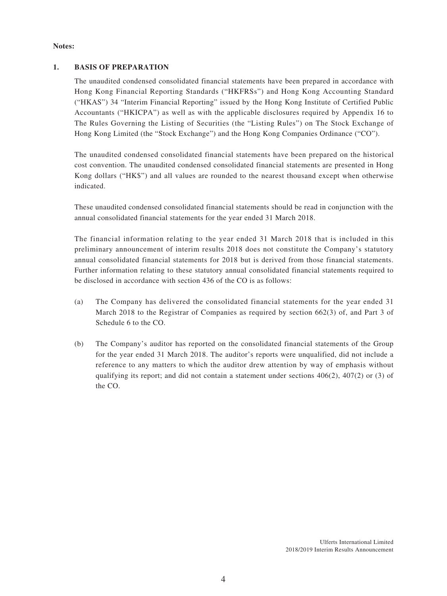#### **Notes:**

#### **1. BASIS OF PREPARATION**

The unaudited condensed consolidated financial statements have been prepared in accordance with Hong Kong Financial Reporting Standards ("HKFRSs") and Hong Kong Accounting Standard ("HKAS") 34 "Interim Financial Reporting" issued by the Hong Kong Institute of Certified Public Accountants ("HKICPA") as well as with the applicable disclosures required by Appendix 16 to The Rules Governing the Listing of Securities (the "Listing Rules") on The Stock Exchange of Hong Kong Limited (the "Stock Exchange") and the Hong Kong Companies Ordinance ("CO").

The unaudited condensed consolidated financial statements have been prepared on the historical cost convention. The unaudited condensed consolidated financial statements are presented in Hong Kong dollars ("HK\$") and all values are rounded to the nearest thousand except when otherwise indicated.

These unaudited condensed consolidated financial statements should be read in conjunction with the annual consolidated financial statements for the year ended 31 March 2018.

The financial information relating to the year ended 31 March 2018 that is included in this preliminary announcement of interim results 2018 does not constitute the Company's statutory annual consolidated financial statements for 2018 but is derived from those financial statements. Further information relating to these statutory annual consolidated financial statements required to be disclosed in accordance with section 436 of the CO is as follows:

- (a) The Company has delivered the consolidated financial statements for the year ended 31 March 2018 to the Registrar of Companies as required by section 662(3) of, and Part 3 of Schedule 6 to the CO.
- (b) The Company's auditor has reported on the consolidated financial statements of the Group for the year ended 31 March 2018. The auditor's reports were unqualified, did not include a reference to any matters to which the auditor drew attention by way of emphasis without qualifying its report; and did not contain a statement under sections  $406(2)$ ,  $407(2)$  or (3) of the CO.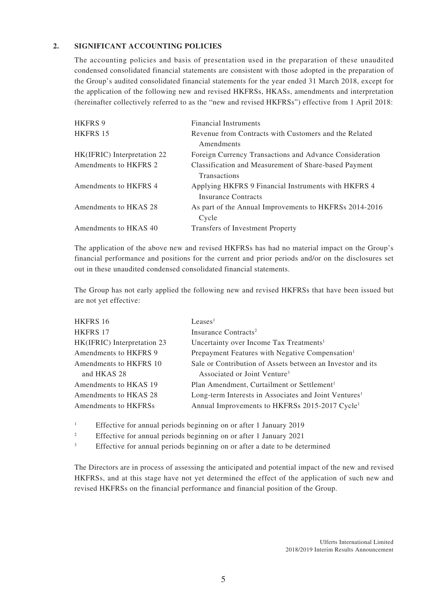#### **2. SIGNIFICANT ACCOUNTING POLICIES**

The accounting policies and basis of presentation used in the preparation of these unaudited condensed consolidated financial statements are consistent with those adopted in the preparation of the Group's audited consolidated financial statements for the year ended 31 March 2018, except for the application of the following new and revised HKFRSs, HKASs, amendments and interpretation (hereinafter collectively referred to as the "new and revised HKFRSs") effective from 1 April 2018:

| <b>HKFRS 9</b>              | <b>Financial Instruments</b>                            |
|-----------------------------|---------------------------------------------------------|
| HKFRS 15                    | Revenue from Contracts with Customers and the Related   |
|                             | Amendments                                              |
| HK(IFRIC) Interpretation 22 | Foreign Currency Transactions and Advance Consideration |
| Amendments to HKFRS 2       | Classification and Measurement of Share-based Payment   |
|                             | <b>Transactions</b>                                     |
| Amendments to HKFRS 4       | Applying HKFRS 9 Financial Instruments with HKFRS 4     |
|                             | Insurance Contracts                                     |
| Amendments to HKAS 28       | As part of the Annual Improvements to HKFRSs 2014-2016  |
|                             | Cycle                                                   |
| Amendments to HKAS 40       | <b>Transfers of Investment Property</b>                 |

The application of the above new and revised HKFRSs has had no material impact on the Group's financial performance and positions for the current and prior periods and/or on the disclosures set out in these unaudited condensed consolidated financial statements.

The Group has not early applied the following new and revised HKFRSs that have been issued but are not yet effective:

| HKFRS 16                    | Leases <sup>1</sup>                                               |
|-----------------------------|-------------------------------------------------------------------|
| <b>HKFRS 17</b>             | Insurance Contracts <sup>2</sup>                                  |
| HK(IFRIC) Interpretation 23 | Uncertainty over Income Tax Treatments <sup>1</sup>               |
| Amendments to HKFRS 9       | Prepayment Features with Negative Compensation <sup>1</sup>       |
| Amendments to HKFRS 10      | Sale or Contribution of Assets between an Investor and its        |
| and HKAS 28                 | Associated or Joint Venture <sup>3</sup>                          |
| Amendments to HKAS 19       | Plan Amendment, Curtailment or Settlement <sup>1</sup>            |
| Amendments to HKAS 28       | Long-term Interests in Associates and Joint Ventures <sup>1</sup> |
| Amendments to HKFRSs        | Annual Improvements to HKFRSs 2015-2017 Cycle <sup>1</sup>        |
|                             |                                                                   |

<sup>1</sup> Effective for annual periods beginning on or after 1 January 2019

<sup>2</sup> Effective for annual periods beginning on or after 1 January 2021

<sup>3</sup> Effective for annual periods beginning on or after a date to be determined

The Directors are in process of assessing the anticipated and potential impact of the new and revised HKFRSs, and at this stage have not yet determined the effect of the application of such new and revised HKFRSs on the financial performance and financial position of the Group.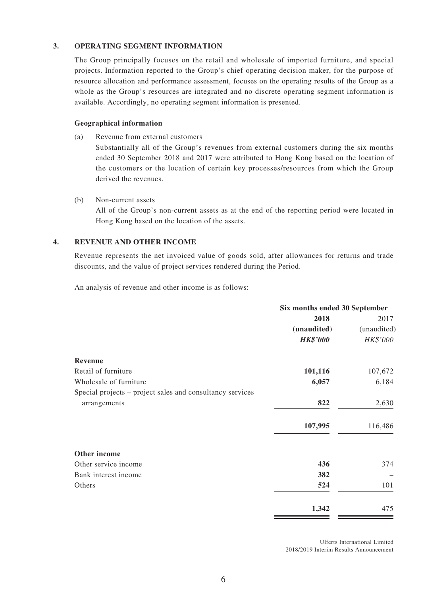#### **3. OPERATING SEGMENT INFORMATION**

The Group principally focuses on the retail and wholesale of imported furniture, and special projects. Information reported to the Group's chief operating decision maker, for the purpose of resource allocation and performance assessment, focuses on the operating results of the Group as a whole as the Group's resources are integrated and no discrete operating segment information is available. Accordingly, no operating segment information is presented.

#### **Geographical information**

(a) Revenue from external customers

Substantially all of the Group's revenues from external customers during the six months ended 30 September 2018 and 2017 were attributed to Hong Kong based on the location of the customers or the location of certain key processes/resources from which the Group derived the revenues.

(b) Non-current assets All of the Group's non-current assets as at the end of the reporting period were located in Hong Kong based on the location of the assets.

#### **4. REVENUE AND OTHER INCOME**

Revenue represents the net invoiced value of goods sold, after allowances for returns and trade discounts, and the value of project services rendered during the Period.

An analysis of revenue and other income is as follows:

|                                                           | Six months ended 30 September |             |
|-----------------------------------------------------------|-------------------------------|-------------|
|                                                           | 2018                          | 2017        |
|                                                           | (unaudited)                   | (unaudited) |
|                                                           | <b>HK\$'000</b>               | HK\$'000    |
| <b>Revenue</b>                                            |                               |             |
| Retail of furniture                                       | 101,116                       | 107,672     |
| Wholesale of furniture                                    | 6,057                         | 6,184       |
| Special projects – project sales and consultancy services |                               |             |
| arrangements                                              | 822                           | 2,630       |
|                                                           | 107,995                       | 116,486     |
| Other income                                              |                               |             |
| Other service income                                      | 436                           | 374         |
| Bank interest income                                      | 382                           |             |
| Others                                                    | 524                           | 101         |
|                                                           | 1,342                         | 475         |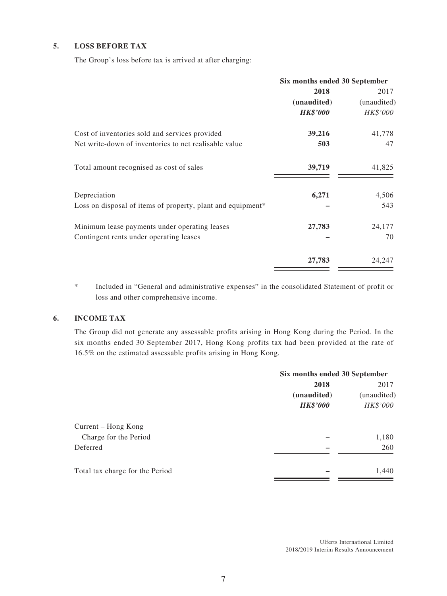#### **5. LOSS BEFORE TAX**

The Group's loss before tax is arrived at after charging:

|                                                             | Six months ended 30 September |                 |
|-------------------------------------------------------------|-------------------------------|-----------------|
|                                                             | 2018                          | 2017            |
|                                                             | (unaudited)                   | (unaudited)     |
|                                                             | <b>HK\$'000</b>               | <i>HK\$'000</i> |
| Cost of inventories sold and services provided              | 39,216                        | 41,778          |
| Net write-down of inventories to net realisable value       | 503                           | 47              |
| Total amount recognised as cost of sales                    | 39,719                        | 41,825          |
| Depreciation                                                | 6,271                         | 4,506           |
| Loss on disposal of items of property, plant and equipment* |                               | 543             |
| Minimum lease payments under operating leases               | 27,783                        | 24,177          |
| Contingent rents under operating leases                     |                               | 70              |
|                                                             | 27,783                        | 24,247          |

\* Included in "General and administrative expenses" in the consolidated Statement of profit or loss and other comprehensive income.

#### **6. INCOME TAX**

The Group did not generate any assessable profits arising in Hong Kong during the Period. In the six months ended 30 September 2017, Hong Kong profits tax had been provided at the rate of 16.5% on the estimated assessable profits arising in Hong Kong.

|                                 | Six months ended 30 September |                     |
|---------------------------------|-------------------------------|---------------------|
|                                 | 2018                          | 2017<br>(unaudited) |
|                                 | (unaudited)                   |                     |
|                                 | <b>HK\$'000</b>               | HK\$'000            |
| Current – Hong Kong             |                               |                     |
| Charge for the Period           |                               | 1,180               |
| Deferred                        |                               | 260                 |
| Total tax charge for the Period |                               | 1,440               |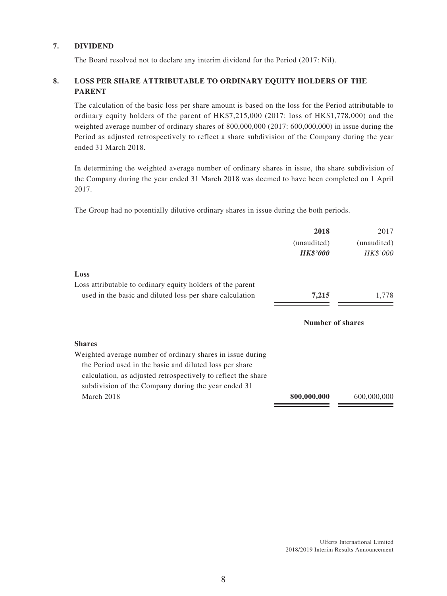#### **7. DIVIDEND**

The Board resolved not to declare any interim dividend for the Period (2017: Nil).

### **8. LOSS PER SHARE ATTRIBUTABLE TO ORDINARY EQUITY HOLDERS OF THE PARENT**

The calculation of the basic loss per share amount is based on the loss for the Period attributable to ordinary equity holders of the parent of HK\$7,215,000 (2017: loss of HK\$1,778,000) and the weighted average number of ordinary shares of 800,000,000 (2017: 600,000,000) in issue during the Period as adjusted retrospectively to reflect a share subdivision of the Company during the year ended 31 March 2018.

In determining the weighted average number of ordinary shares in issue, the share subdivision of the Company during the year ended 31 March 2018 was deemed to have been completed on 1 April 2017.

The Group had no potentially dilutive ordinary shares in issue during the both periods.

|                                                                                                                          | 2018                    | 2017            |
|--------------------------------------------------------------------------------------------------------------------------|-------------------------|-----------------|
|                                                                                                                          | (unaudited)             | (unaudited)     |
|                                                                                                                          | <b>HK\$'000</b>         | <i>HK\$'000</i> |
| Loss                                                                                                                     |                         |                 |
| Loss attributable to ordinary equity holders of the parent                                                               |                         |                 |
| used in the basic and diluted loss per share calculation                                                                 | 7,215                   | 1,778           |
|                                                                                                                          | <b>Number of shares</b> |                 |
| <b>Shares</b>                                                                                                            |                         |                 |
| Weighted average number of ordinary shares in issue during                                                               |                         |                 |
| the Period used in the basic and diluted loss per share<br>calculation, as adjusted retrospectively to reflect the share |                         |                 |
| subdivision of the Company during the year ended 31                                                                      |                         |                 |
| March 2018                                                                                                               | 800,000,000             | 600,000,000     |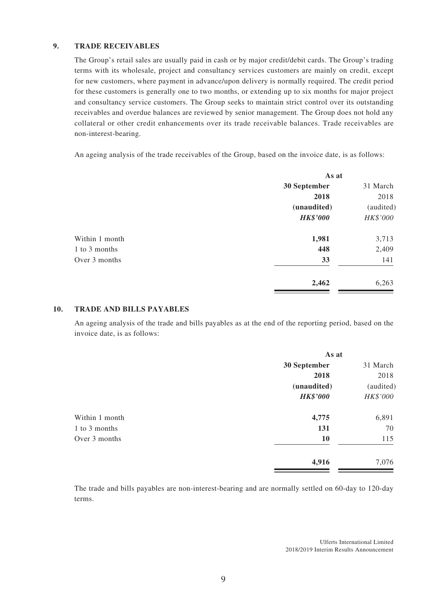#### **9. TRADE RECEIVABLES**

The Group's retail sales are usually paid in cash or by major credit/debit cards. The Group's trading terms with its wholesale, project and consultancy services customers are mainly on credit, except for new customers, where payment in advance/upon delivery is normally required. The credit period for these customers is generally one to two months, or extending up to six months for major project and consultancy service customers. The Group seeks to maintain strict control over its outstanding receivables and overdue balances are reviewed by senior management. The Group does not hold any collateral or other credit enhancements over its trade receivable balances. Trade receivables are non-interest-bearing.

An ageing analysis of the trade receivables of the Group, based on the invoice date, is as follows:

|                | As at           |           |
|----------------|-----------------|-----------|
|                | 30 September    | 31 March  |
|                | 2018            | 2018      |
|                | (unaudited)     | (audited) |
|                | <b>HK\$'000</b> | HK\$'000  |
| Within 1 month | 1,981           | 3,713     |
| 1 to 3 months  | 448             | 2,409     |
| Over 3 months  | 33              | 141       |
|                | 2,462           | 6,263     |

#### **10. TRADE AND BILLS PAYABLES**

An ageing analysis of the trade and bills payables as at the end of the reporting period, based on the invoice date, is as follows:

|                | As at           |           |
|----------------|-----------------|-----------|
|                | 30 September    | 31 March  |
|                | 2018            | 2018      |
|                | (unaudited)     | (audited) |
|                | <b>HK\$'000</b> | HK\$'000  |
| Within 1 month | 4,775           | 6,891     |
| 1 to 3 months  | 131             | 70        |
| Over 3 months  | <b>10</b>       | 115       |
|                | 4,916           | 7,076     |

The trade and bills payables are non-interest-bearing and are normally settled on 60-day to 120-day terms.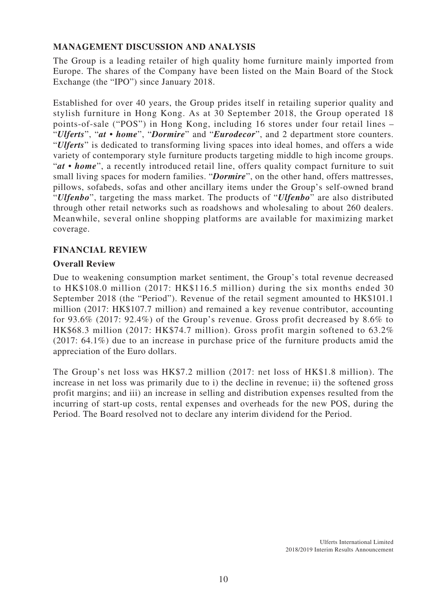## **MANAGEMENT DISCUSSION AND ANALYSIS**

The Group is a leading retailer of high quality home furniture mainly imported from Europe. The shares of the Company have been listed on the Main Board of the Stock Exchange (the "IPO") since January 2018.

Established for over 40 years, the Group prides itself in retailing superior quality and stylish furniture in Hong Kong. As at 30 September 2018, the Group operated 18 points-of-sale ("POS") in Hong Kong, including 16 stores under four retail lines – "*Ulferts*", "*at • home*", "*Dormire*" and "*Eurodecor*", and 2 department store counters. "*Ulferts*" is dedicated to transforming living spaces into ideal homes, and offers a wide variety of contemporary style furniture products targeting middle to high income groups. "*at • home*", a recently introduced retail line, offers quality compact furniture to suit small living spaces for modern families. "*Dormire*", on the other hand, offers mattresses, pillows, sofabeds, sofas and other ancillary items under the Group's self-owned brand "*Ulfenbo*", targeting the mass market. The products of "*Ulfenbo*" are also distributed through other retail networks such as roadshows and wholesaling to about 260 dealers. Meanwhile, several online shopping platforms are available for maximizing market coverage.

### **FINANCIAL REVIEW**

### **Overall Review**

Due to weakening consumption market sentiment, the Group's total revenue decreased to HK\$108.0 million (2017: HK\$116.5 million) during the six months ended 30 September 2018 (the "Period"). Revenue of the retail segment amounted to HK\$101.1 million (2017: HK\$107.7 million) and remained a key revenue contributor, accounting for 93.6% (2017: 92.4%) of the Group's revenue. Gross profit decreased by 8.6% to HK\$68.3 million (2017: HK\$74.7 million). Gross profit margin softened to 63.2% (2017: 64.1%) due to an increase in purchase price of the furniture products amid the appreciation of the Euro dollars.

The Group's net loss was HK\$7.2 million (2017: net loss of HK\$1.8 million). The increase in net loss was primarily due to i) the decline in revenue; ii) the softened gross profit margins; and iii) an increase in selling and distribution expenses resulted from the incurring of start-up costs, rental expenses and overheads for the new POS, during the Period. The Board resolved not to declare any interim dividend for the Period.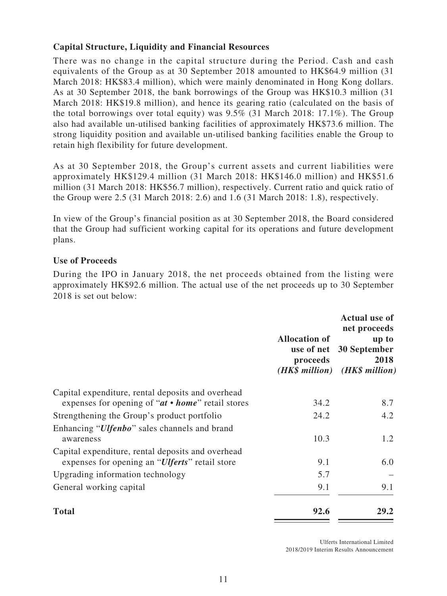## **Capital Structure, Liquidity and Financial Resources**

There was no change in the capital structure during the Period. Cash and cash equivalents of the Group as at 30 September 2018 amounted to HK\$64.9 million (31 March 2018: HK\$83.4 million), which were mainly denominated in Hong Kong dollars. As at 30 September 2018, the bank borrowings of the Group was HK\$10.3 million (31 March 2018: HK\$19.8 million), and hence its gearing ratio (calculated on the basis of the total borrowings over total equity) was 9.5% (31 March 2018: 17.1%). The Group also had available un-utilised banking facilities of approximately HK\$73.6 million. The strong liquidity position and available un-utilised banking facilities enable the Group to retain high flexibility for future development.

As at 30 September 2018, the Group's current assets and current liabilities were approximately HK\$129.4 million (31 March 2018: HK\$146.0 million) and HK\$51.6 million (31 March 2018: HK\$56.7 million), respectively. Current ratio and quick ratio of the Group were 2.5 (31 March 2018: 2.6) and 1.6 (31 March 2018: 1.8), respectively.

In view of the Group's financial position as at 30 September 2018, the Board considered that the Group had sufficient working capital for its operations and future development plans.

### **Use of Proceeds**

During the IPO in January 2018, the net proceeds obtained from the listing were approximately HK\$92.6 million. The actual use of the net proceeds up to 30 September 2018 is set out below:

|                                                                                                              | <b>Allocation of</b><br>use of net<br>proceeds | <b>Actual use of</b><br>net proceeds<br>up to<br>30 September<br>2018<br>(HK\$ million) (HK\$ million) |
|--------------------------------------------------------------------------------------------------------------|------------------------------------------------|--------------------------------------------------------------------------------------------------------|
| Capital expenditure, rental deposits and overhead                                                            |                                                |                                                                                                        |
| expenses for opening of " $at \cdot home$ " retail stores                                                    | 34.2                                           | 8.7                                                                                                    |
| Strengthening the Group's product portfolio                                                                  | 24.2                                           | 4.2                                                                                                    |
| Enhancing " <i>Ulfenbo</i> " sales channels and brand                                                        |                                                |                                                                                                        |
| awareness                                                                                                    | 10.3                                           | 1.2                                                                                                    |
| Capital expenditure, rental deposits and overhead<br>expenses for opening an " <i>Ulferts</i> " retail store | 9.1                                            | 6.0                                                                                                    |
|                                                                                                              |                                                |                                                                                                        |
| Upgrading information technology                                                                             | 5.7                                            |                                                                                                        |
| General working capital                                                                                      | 9.1                                            | 9.1                                                                                                    |
| <b>Total</b>                                                                                                 | 92.6                                           | 29.2                                                                                                   |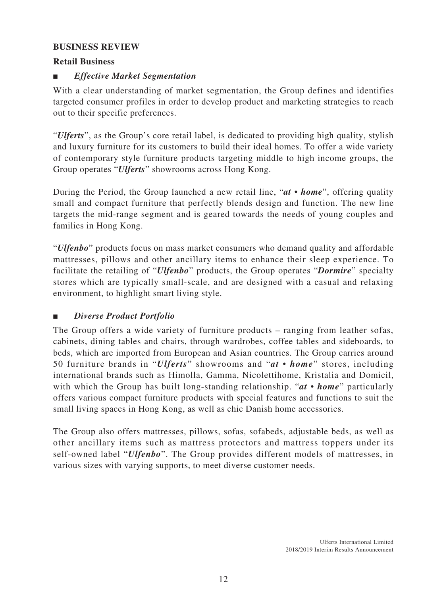### **BUSINESS REVIEW**

### **Retail Business**

## ■ *Effective Market Segmentation*

With a clear understanding of market segmentation, the Group defines and identifies targeted consumer profiles in order to develop product and marketing strategies to reach out to their specific preferences.

"*Ulferts*", as the Group's core retail label, is dedicated to providing high quality, stylish and luxury furniture for its customers to build their ideal homes. To offer a wide variety of contemporary style furniture products targeting middle to high income groups, the Group operates "*Ulferts*" showrooms across Hong Kong.

During the Period, the Group launched a new retail line, "*at • home*", offering quality small and compact furniture that perfectly blends design and function. The new line targets the mid-range segment and is geared towards the needs of young couples and families in Hong Kong.

"*Ulfenbo*" products focus on mass market consumers who demand quality and affordable mattresses, pillows and other ancillary items to enhance their sleep experience. To facilitate the retailing of "*Ulfenbo*" products, the Group operates "*Dormire*" specialty stores which are typically small-scale, and are designed with a casual and relaxing environment, to highlight smart living style.

### ■ *Diverse Product Portfolio*

The Group offers a wide variety of furniture products – ranging from leather sofas, cabinets, dining tables and chairs, through wardrobes, coffee tables and sideboards, to beds, which are imported from European and Asian countries. The Group carries around 50 furniture brands in "*Ulferts*" showrooms and "*at • home*" stores, including international brands such as Himolla, Gamma, Nicolettihome, Kristalia and Domicil, with which the Group has built long-standing relationship. "*at • home*" particularly offers various compact furniture products with special features and functions to suit the small living spaces in Hong Kong, as well as chic Danish home accessories.

The Group also offers mattresses, pillows, sofas, sofabeds, adjustable beds, as well as other ancillary items such as mattress protectors and mattress toppers under its self-owned label "*Ulfenbo*". The Group provides different models of mattresses, in various sizes with varying supports, to meet diverse customer needs.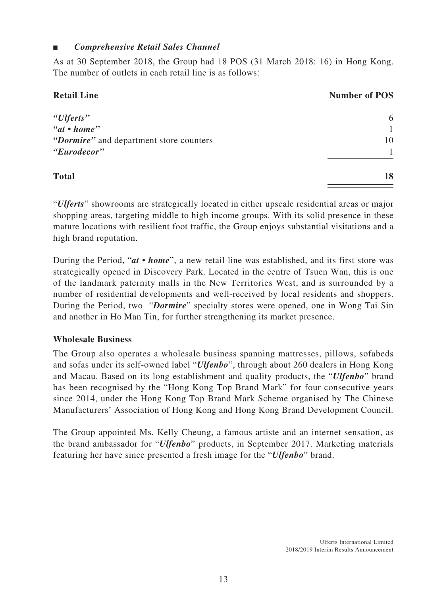### ■ *Comprehensive Retail Sales Channel*

As at 30 September 2018, the Group had 18 POS (31 March 2018: 16) in Hong Kong. The number of outlets in each retail line is as follows:

| <b>Retail Line</b>                      | <b>Number of POS</b> |
|-----------------------------------------|----------------------|
| "Ulferts"                               | 6                    |
| "at • home"                             |                      |
| "Dormire" and department store counters | 10                   |
| "Eurodecor"                             |                      |
| <b>Total</b>                            | 18                   |

"*Ulferts*" showrooms are strategically located in either upscale residential areas or major shopping areas, targeting middle to high income groups. With its solid presence in these mature locations with resilient foot traffic, the Group enjoys substantial visitations and a high brand reputation.

During the Period, "*at • home*", a new retail line was established, and its first store was strategically opened in Discovery Park. Located in the centre of Tsuen Wan, this is one of the landmark paternity malls in the New Territories West, and is surrounded by a number of residential developments and well-received by local residents and shoppers. During the Period, two "*Dormire*" specialty stores were opened, one in Wong Tai Sin and another in Ho Man Tin, for further strengthening its market presence.

### **Wholesale Business**

The Group also operates a wholesale business spanning mattresses, pillows, sofabeds and sofas under its self-owned label "*Ulfenbo*", through about 260 dealers in Hong Kong and Macau. Based on its long establishment and quality products, the "*Ulfenbo*" brand has been recognised by the "Hong Kong Top Brand Mark" for four consecutive years since 2014, under the Hong Kong Top Brand Mark Scheme organised by The Chinese Manufacturers' Association of Hong Kong and Hong Kong Brand Development Council.

The Group appointed Ms. Kelly Cheung, a famous artiste and an internet sensation, as the brand ambassador for "*Ulfenbo*" products, in September 2017. Marketing materials featuring her have since presented a fresh image for the "*Ulfenbo*" brand.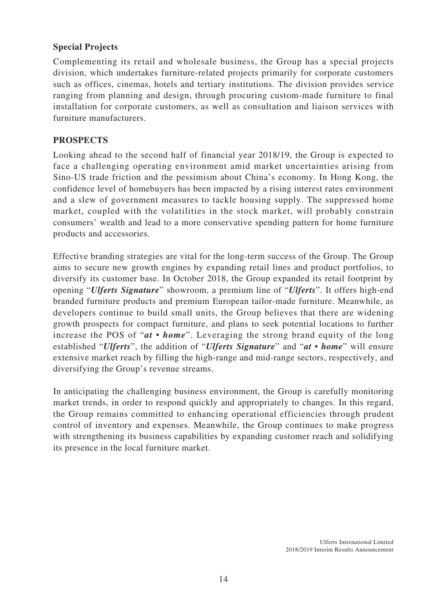### **Special Projects**

Complementing its retail and wholesale business, the Group has a special projects division, which undertakes furniture-related projects primarily for corporate customers such as offices, cinemas, hotels and tertiary institutions. The division provides service ranging from planning and design, through procuring custom-made furniture to final installation for corporate customers, as well as consultation and liaison services with furniture manufacturers.

## **PROSPECTS**

Looking ahead to the second half of financial year 2018/19, the Group is expected to face a challenging operating environment amid market uncertainties arising from Sino-US trade friction and the pessimism about China's economy. In Hong Kong, the confidence level of homebuyers has been impacted by a rising interest rates environment and a slew of government measures to tackle housing supply. The suppressed home market, coupled with the volatilities in the stock market, will probably constrain consumers' wealth and lead to a more conservative spending pattern for home furniture products and accessories.

Effective branding strategies are vital for the long-term success of the Group. The Group aims to secure new growth engines by expanding retail lines and product portfolios, to diversify its customer base. In October 2018, the Group expanded its retail footprint by opening "*Ulferts Signature*" showroom, a premium line of "*Ulferts*". It offers high-end branded furniture products and premium European tailor-made furniture. Meanwhile, as developers continue to build small units, the Group believes that there are widening growth prospects for compact furniture, and plans to seek potential locations to further increase the POS of "*at • home*". Leveraging the strong brand equity of the long established "*Ulferts*", the addition of "*Ulferts Signature*" and "*at • home*" will ensure extensive market reach by filling the high-range and mid-range sectors, respectively, and diversifying the Group's revenue streams.

In anticipating the challenging business environment, the Group is carefully monitoring market trends, in order to respond quickly and appropriately to changes. In this regard, the Group remains committed to enhancing operational efficiencies through prudent control of inventory and expenses. Meanwhile, the Group continues to make progress with strengthening its business capabilities by expanding customer reach and solidifying its presence in the local furniture market.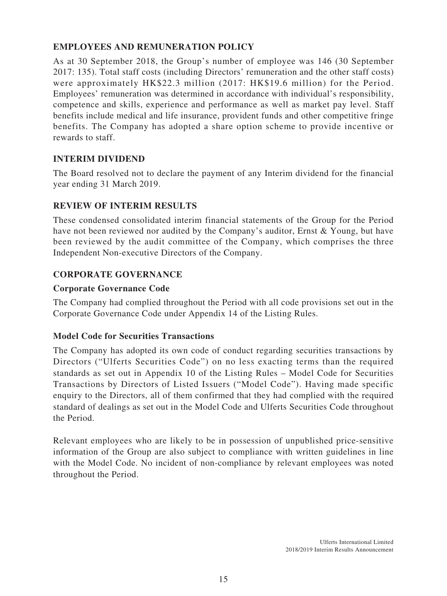# **EMPLOYEES AND REMUNERATION POLICY**

As at 30 September 2018, the Group's number of employee was 146 (30 September 2017: 135). Total staff costs (including Directors' remuneration and the other staff costs) were approximately HK\$22.3 million (2017: HK\$19.6 million) for the Period. Employees' remuneration was determined in accordance with individual's responsibility, competence and skills, experience and performance as well as market pay level. Staff benefits include medical and life insurance, provident funds and other competitive fringe benefits. The Company has adopted a share option scheme to provide incentive or rewards to staff.

# **INTERIM DIVIDEND**

The Board resolved not to declare the payment of any Interim dividend for the financial year ending 31 March 2019.

## **REVIEW OF INTERIM RESULTS**

These condensed consolidated interim financial statements of the Group for the Period have not been reviewed nor audited by the Company's auditor, Ernst & Young, but have been reviewed by the audit committee of the Company, which comprises the three Independent Non-executive Directors of the Company.

## **CORPORATE GOVERNANCE**

### **Corporate Governance Code**

The Company had complied throughout the Period with all code provisions set out in the Corporate Governance Code under Appendix 14 of the Listing Rules.

### **Model Code for Securities Transactions**

The Company has adopted its own code of conduct regarding securities transactions by Directors ("Ulferts Securities Code") on no less exacting terms than the required standards as set out in Appendix 10 of the Listing Rules – Model Code for Securities Transactions by Directors of Listed Issuers ("Model Code"). Having made specific enquiry to the Directors, all of them confirmed that they had complied with the required standard of dealings as set out in the Model Code and Ulferts Securities Code throughout the Period.

Relevant employees who are likely to be in possession of unpublished price-sensitive information of the Group are also subject to compliance with written guidelines in line with the Model Code. No incident of non-compliance by relevant employees was noted throughout the Period.